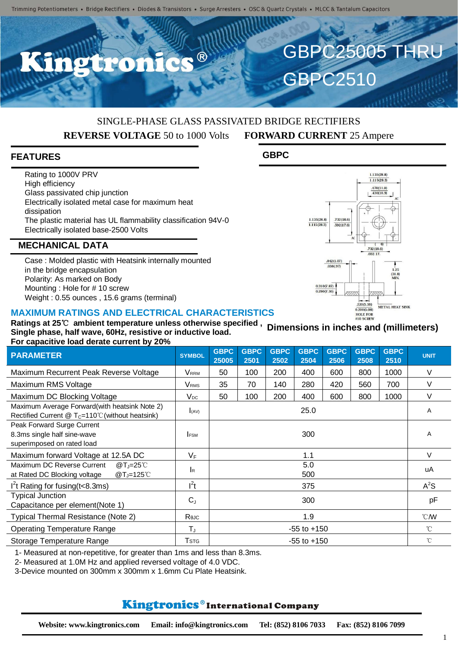$\bullet$   $\circledR$ 

## SINGLE-PHASE GLASS PASSIVATED BRIDGE RECTIFIERS **REVERSE VOLTAGE** 50 to 1000 Volts **FORWARD CURRENT** 25 Ampere

**GBPC**

GBPC25005 THRU

 $1135(28.8)$  $1.115(28.3)$  $\frac{.470(11.0)}{.430(10.9)}$ 

 $.732(18.6)$ 

 $0.200(5.08)$ 

 $1.25$ <br>(31.8)

METAL HEAT SINK

**GBPC2510** 

 $1.135/28.8$ 

 $\frac{1.100(28.3)}{1.115(28.3)}$ 

732(18.6)

 $.592(17.6)$ 

 $.042(1.07)$  $.038(.97)$ 

 $0.310(7.87)$  $0.290(7.36)$ 

#### **FEATURES**

Rating to 1000V PRV High efficiency Glass passivated chip junction Electrically isolated metal case for maximum heat dissipation The plastic material has UL flammability classification 94V-0 Electrically isolated base-2500 Volts

#### **MECHANICAL DATA**

Case : Molded plastic with Heatsink internally mounted in the bridge encapsulation Polarity: As marked on Body Mounting : Hole for # 10 screw Weight : 0.55 ounces , 15.6 grams (terminal)

#### **MAXIMUM RATINGS AND ELECTRICAL CHARACTERISTICS**

HOLE FOR **Ratings at 25**℃ **ambient temperature unless otherwise specified , Dimensions in inches and (millimeters)Single phase, half wave, 60Hz, resistive or inductive load. For capacitive load derate current by 20%**

| <b>PARAMETER</b>                                                                                                | <b>SYMBOL</b>           | <b>GBPC</b><br>25005 | <b>GBPC</b><br>2501 | <b>GBPC</b><br>2502 | <b>GBPC</b><br>2504 | <b>GBPC</b><br>2506 | <b>GBPC</b><br>2508 | <b>GBPC</b><br>2510 | <b>UNIT</b>    |
|-----------------------------------------------------------------------------------------------------------------|-------------------------|----------------------|---------------------|---------------------|---------------------|---------------------|---------------------|---------------------|----------------|
| Maximum Recurrent Peak Reverse Voltage                                                                          | <b>V</b> <sub>RRM</sub> | 50                   | 100                 | 200                 | 400                 | 600                 | 800                 | 1000                | V              |
| Maximum RMS Voltage                                                                                             | <b>V</b> <sub>RMS</sub> | 35                   | 70                  | 140                 | 280                 | 420                 | 560                 | 700                 | V              |
| Maximum DC Blocking Voltage                                                                                     | $V_{DC}$                | 50                   | 100                 | 200                 | 400                 | 600                 | 800                 | 1000                | V              |
| Maximum Average Forward(with heatsink Note 2)<br>Rectified Current $@$ T <sub>C</sub> =110°C (without heatsink) | $I_{(AV)}$              | 25.0                 |                     |                     |                     |                     |                     |                     | A              |
| Peak Forward Surge Current<br>8.3ms single half sine-wave<br>superimposed on rated load                         | <b>IFSM</b>             | 300                  |                     |                     |                     |                     |                     |                     | A              |
| Maximum forward Voltage at 12.5A DC                                                                             | $V_F$                   | 1.1                  |                     |                     |                     |                     |                     |                     | V              |
| Maximum DC Reverse Current<br>$@T_J=25^{\circ}$ C<br>$@T_J=125^{\circ}$ C<br>at Rated DC Blocking voltage       | lR.                     | 5.0<br>500           |                     |                     |                     |                     |                     |                     | uA             |
| $I2t$ Rating for fusing (t < 8.3ms)                                                                             | $l^2t$                  | 375                  |                     |                     |                     |                     |                     |                     | $A^2S$         |
| <b>Typical Junction</b><br>Capacitance per element(Note 1)                                                      | $C_{J}$                 | 300                  |                     |                     |                     |                     |                     |                     | pF             |
| Typical Thermal Resistance (Note 2)                                                                             | Rejc                    | 1.9                  |                     |                     |                     |                     |                     |                     | $^{\circ}$ CMV |
| <b>Operating Temperature Range</b>                                                                              | $\mathsf{T}_\mathrm{J}$ | $-55$ to $+150$      |                     |                     |                     |                     |                     |                     | $^{\circ}C$    |
| Storage Temperature Range                                                                                       | <b>T</b> stg            | $-55$ to $+150$      |                     |                     |                     |                     |                     |                     | $^{\circ}$ C   |

1- Measured at non-repetitive, for greater than 1ms and less than 8.3ms.

2- Measured at 1.0M Hz and applied reversed voltage of 4.0 VDC.

3-Device mounted on 300mm x 300mm x 1.6mm Cu Plate Heatsink.

# Kingtronics®International Company